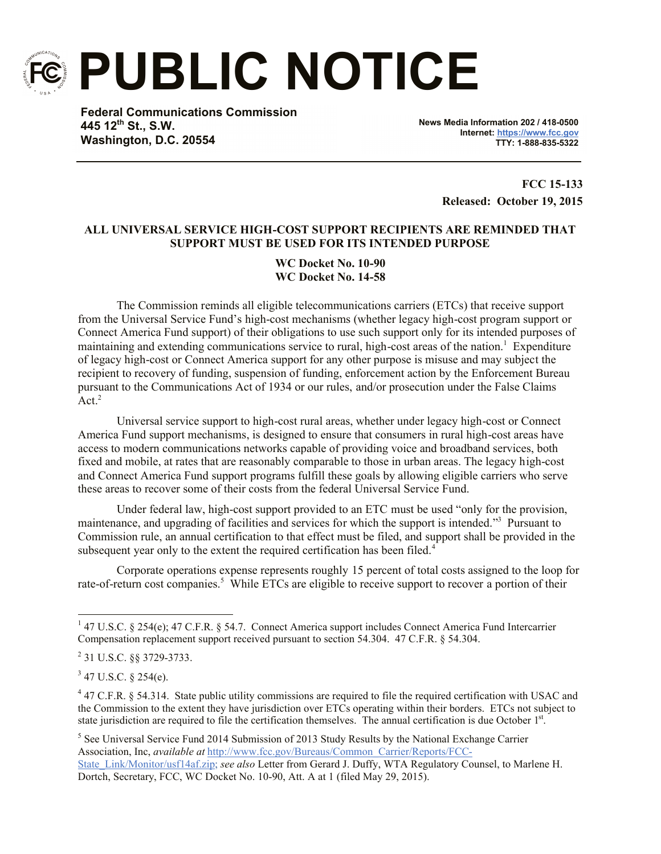

**PUBLIC NOTICE**

**Federal Communications Commission 445 12th St., S.W. Washington, D.C. 20554**

**News Media Information 202 / 418-0500 Internet: https://www.fcc.gov TTY: 1-888-835-5322**

> **FCC 15-133 Released: October 19, 2015**

# **ALL UNIVERSAL SERVICE HIGH-COST SUPPORT RECIPIENTS ARE REMINDED THAT SUPPORT MUST BE USED FOR ITS INTENDED PURPOSE**

**WC Docket No. 10-90 WC Docket No. 14-58**

The Commission reminds all eligible telecommunications carriers (ETCs) that receive support from the Universal Service Fund's high-cost mechanisms (whether legacy high-cost program support or Connect America Fund support) of their obligations to use such support only for its intended purposes of maintaining and extending communications service to rural, high-cost areas of the nation.<sup>1</sup> Expenditure of legacy high-cost or Connect America support for any other purpose is misuse and may subject the recipient to recovery of funding, suspension of funding, enforcement action by the Enforcement Bureau pursuant to the Communications Act of 1934 or our rules, and/or prosecution under the False Claims Act. $2$ 

Universal service support to high-cost rural areas, whether under legacy high-cost or Connect America Fund support mechanisms, is designed to ensure that consumers in rural high-cost areas have access to modern communications networks capable of providing voice and broadband services, both fixed and mobile, at rates that are reasonably comparable to those in urban areas. The legacy high-cost and Connect America Fund support programs fulfill these goals by allowing eligible carriers who serve these areas to recover some of their costs from the federal Universal Service Fund.

Under federal law, high-cost support provided to an ETC must be used "only for the provision, maintenance, and upgrading of facilities and services for which the support is intended."<sup>3</sup> Pursuant to Commission rule, an annual certification to that effect must be filed, and support shall be provided in the subsequent year only to the extent the required certification has been filed.<sup>4</sup>

Corporate operations expense represents roughly 15 percent of total costs assigned to the loop for rate-of-return cost companies.<sup>5</sup> While ETCs are eligible to receive support to recover a portion of their

 $\overline{a}$ 

<sup>&</sup>lt;sup>1</sup> 47 U.S.C. § 254(e); 47 C.F.R. § 54.7. Connect America support includes Connect America Fund Intercarrier Compensation replacement support received pursuant to section 54.304. 47 C.F.R. § 54.304.

<sup>&</sup>lt;sup>2</sup> 31 U.S.C. §§ 3729-3733.

 $3$  47 U.S.C. § 254(e).

 $47$  C.F.R. § 54.314. State public utility commissions are required to file the required certification with USAC and the Commission to the extent they have jurisdiction over ETCs operating within their borders. ETCs not subject to state jurisdiction are required to file the certification themselves. The annual certification is due October 1<sup>st</sup>.

<sup>&</sup>lt;sup>5</sup> See Universal Service Fund 2014 Submission of 2013 Study Results by the National Exchange Carrier Association, Inc, *available at* http://www.fcc.gov/Bureaus/Common\_Carrier/Reports/FCC-

State\_Link/Monitor/usf14af.zip; *see also* Letter from Gerard J. Duffy, WTA Regulatory Counsel, to Marlene H. Dortch, Secretary, FCC, WC Docket No. 10-90, Att. A at 1 (filed May 29, 2015).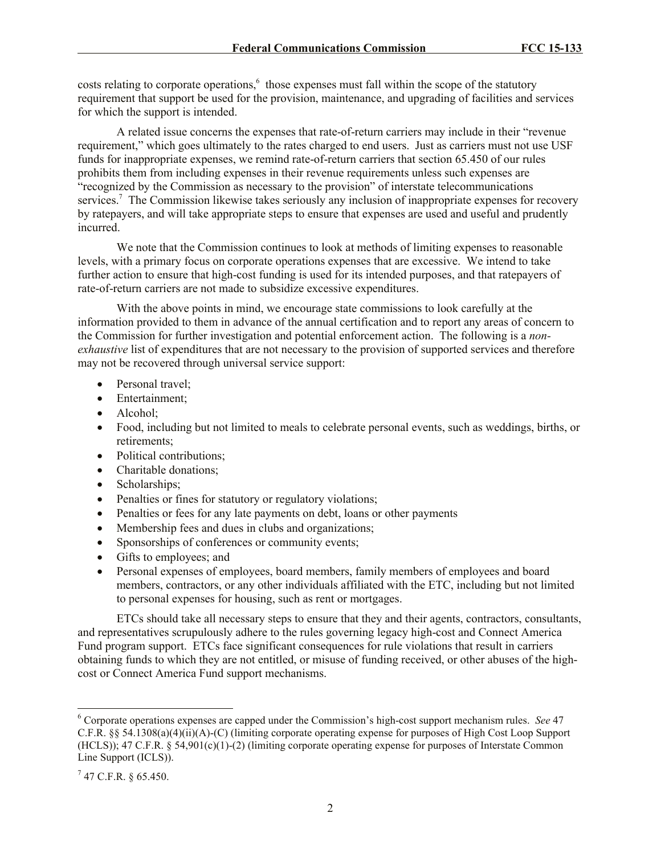costs relating to corporate operations,<sup>6</sup> those expenses must fall within the scope of the statutory requirement that support be used for the provision, maintenance, and upgrading of facilities and services for which the support is intended.

A related issue concerns the expenses that rate-of-return carriers may include in their "revenue requirement," which goes ultimately to the rates charged to end users. Just as carriers must not use USF funds for inappropriate expenses, we remind rate-of-return carriers that section 65.450 of our rules prohibits them from including expenses in their revenue requirements unless such expenses are "recognized by the Commission as necessary to the provision" of interstate telecommunications services.<sup>7</sup> The Commission likewise takes seriously any inclusion of inappropriate expenses for recovery by ratepayers, and will take appropriate steps to ensure that expenses are used and useful and prudently incurred.

We note that the Commission continues to look at methods of limiting expenses to reasonable levels, with a primary focus on corporate operations expenses that are excessive. We intend to take further action to ensure that high-cost funding is used for its intended purposes, and that ratepayers of rate-of-return carriers are not made to subsidize excessive expenditures.

With the above points in mind, we encourage state commissions to look carefully at the information provided to them in advance of the annual certification and to report any areas of concern to the Commission for further investigation and potential enforcement action.The following is a *nonexhaustive* list of expenditures that are not necessary to the provision of supported services and therefore may not be recovered through universal service support:

- Personal travel;
- Entertainment;
- Alcohol:
- Food, including but not limited to meals to celebrate personal events, such as weddings, births, or retirements;
- Political contributions;
- Charitable donations:
- Scholarships;
- Penalties or fines for statutory or regulatory violations;
- Penalties or fees for any late payments on debt, loans or other payments
- Membership fees and dues in clubs and organizations;
- Sponsorships of conferences or community events;
- Gifts to employees; and
- Personal expenses of employees, board members, family members of employees and board members, contractors, or any other individuals affiliated with the ETC, including but not limited to personal expenses for housing, such as rent or mortgages.

ETCs should take all necessary steps to ensure that they and their agents, contractors, consultants, and representatives scrupulously adhere to the rules governing legacy high-cost and Connect America Fund program support. ETCs face significant consequences for rule violations that result in carriers obtaining funds to which they are not entitled, or misuse of funding received, or other abuses of the highcost or Connect America Fund support mechanisms.

 $\overline{a}$ 

<sup>6</sup> Corporate operations expenses are capped under the Commission's high-cost support mechanism rules. *See* 47 C.F.R. §§ 54.1308(a)(4)(ii)(A)-(C) (limiting corporate operating expense for purposes of High Cost Loop Support (HCLS)); 47 C.F.R. § 54,901(c)(1)-(2) (limiting corporate operating expense for purposes of Interstate Common Line Support (ICLS)).

 $7$  47 C.F.R. § 65.450.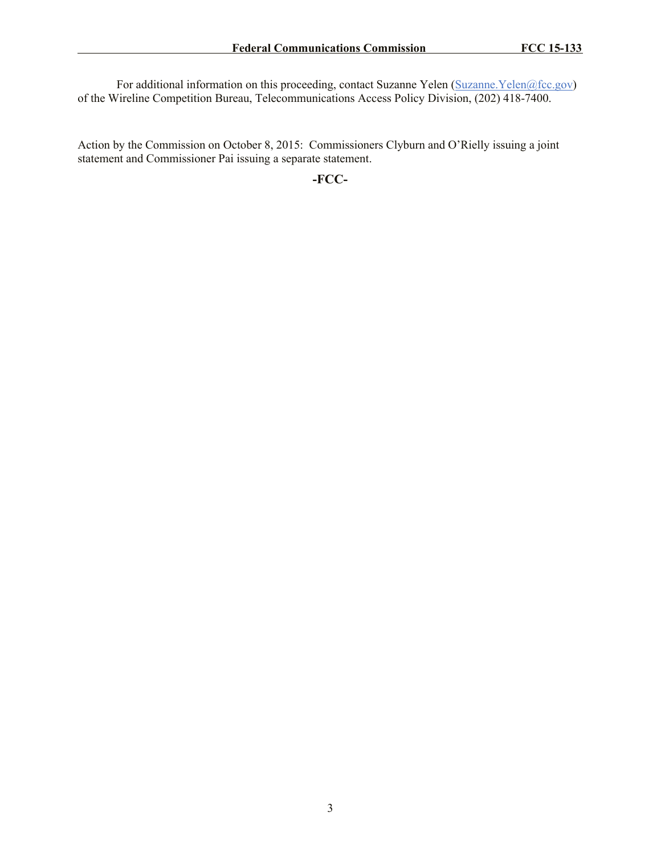For additional information on this proceeding, contact Suzanne Yelen (Suzanne Yelen@fcc.gov) of the Wireline Competition Bureau, Telecommunications Access Policy Division, (202) 418-7400.

Action by the Commission on October 8, 2015: Commissioners Clyburn and O'Rielly issuing a joint statement and Commissioner Pai issuing a separate statement.

**-FCC-**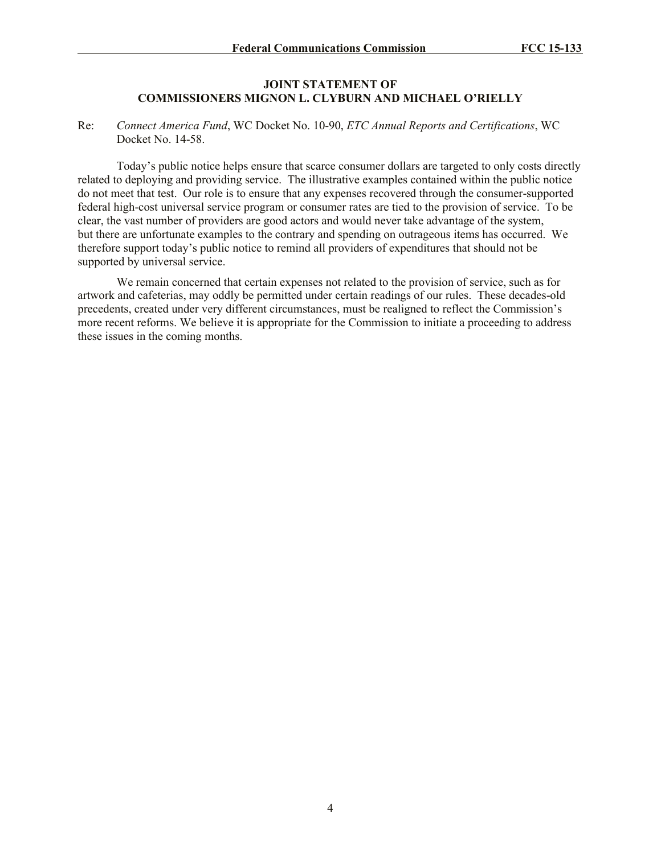## **JOINT STATEMENT OF COMMISSIONERS MIGNON L. CLYBURN AND MICHAEL O'RIELLY**

### Re: *Connect America Fund*, WC Docket No. 10-90, *ETC Annual Reports and Certifications*, WC Docket No. 14-58.

Today's public notice helps ensure that scarce consumer dollars are targeted to only costs directly related to deploying and providing service. The illustrative examples contained within the public notice do not meet that test. Our role is to ensure that any expenses recovered through the consumer-supported federal high-cost universal service program or consumer rates are tied to the provision of service. To be clear, the vast number of providers are good actors and would never take advantage of the system, but there are unfortunate examples to the contrary and spending on outrageous items has occurred. We therefore support today's public notice to remind all providers of expenditures that should not be supported by universal service.

We remain concerned that certain expenses not related to the provision of service, such as for artwork and cafeterias, may oddly be permitted under certain readings of our rules. These decades-old precedents, created under very different circumstances, must be realigned to reflect the Commission's more recent reforms. We believe it is appropriate for the Commission to initiate a proceeding to address these issues in the coming months.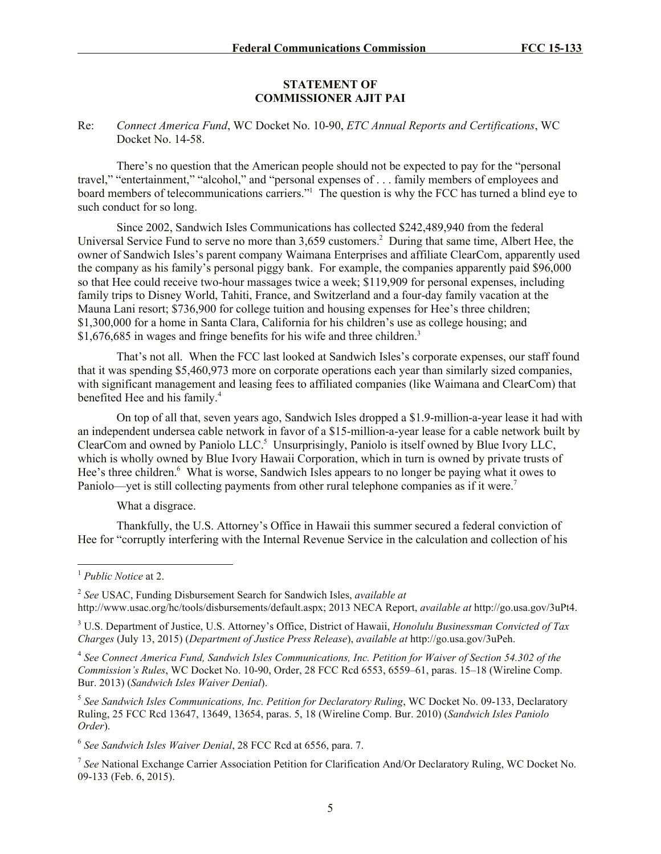#### **STATEMENT OF COMMISSIONER AJIT PAI**

### Re: *Connect America Fund*, WC Docket No. 10-90, *ETC Annual Reports and Certifications*, WC Docket No. 14-58.

There's no question that the American people should not be expected to pay for the "personal travel," "entertainment," "alcohol," and "personal expenses of . . . family members of employees and board members of telecommunications carriers."<sup>1</sup> The question is why the FCC has turned a blind eye to such conduct for so long.

Since 2002, Sandwich Isles Communications has collected \$242,489,940 from the federal Universal Service Fund to serve no more than 3,659 customers.<sup>2</sup> During that same time, Albert Hee, the owner of Sandwich Isles's parent company Waimana Enterprises and affiliate ClearCom, apparently used the company as his family's personal piggy bank. For example, the companies apparently paid \$96,000 so that Hee could receive two-hour massages twice a week; \$119,909 for personal expenses, including family trips to Disney World, Tahiti, France, and Switzerland and a four-day family vacation at the Mauna Lani resort; \$736,900 for college tuition and housing expenses for Hee's three children; \$1,300,000 for a home in Santa Clara, California for his children's use as college housing; and \$1,676,685 in wages and fringe benefits for his wife and three children.<sup>3</sup>

That's not all. When the FCC last looked at Sandwich Isles's corporate expenses, our staff found that it was spending \$5,460,973 more on corporate operations each year than similarly sized companies, with significant management and leasing fees to affiliated companies (like Waimana and ClearCom) that benefited Hee and his family.<sup>4</sup>

On top of all that, seven years ago, Sandwich Isles dropped a \$1.9-million-a-year lease it had with an independent undersea cable network in favor of a \$15-million-a-year lease for a cable network built by ClearCom and owned by Paniolo LLC.<sup>5</sup> Unsurprisingly, Paniolo is itself owned by Blue Ivory LLC, which is wholly owned by Blue Ivory Hawaii Corporation, which in turn is owned by private trusts of Hee's three children.<sup>6</sup> What is worse, Sandwich Isles appears to no longer be paying what it owes to Paniolo—yet is still collecting payments from other rural telephone companies as if it were.<sup>7</sup>

What a disgrace.

Thankfully, the U.S. Attorney's Office in Hawaii this summer secured a federal conviction of Hee for "corruptly interfering with the Internal Revenue Service in the calculation and collection of his

 $\overline{a}$ 

<sup>1</sup> *Public Notice* at 2.

<sup>2</sup> *See* USAC, Funding Disbursement Search for Sandwich Isles, *available at* http://www.usac.org/hc/tools/disbursements/default.aspx; 2013 NECA Report, *available at* http://go.usa.gov/3uPt4.

<sup>3</sup> U.S. Department of Justice, U.S. Attorney's Office, District of Hawaii, *Honolulu Businessman Convicted of Tax Charges* (July 13, 2015) (*Department of Justice Press Release*), *available at* http://go.usa.gov/3uPeh.

<sup>4</sup> *See Connect America Fund, Sandwich Isles Communications, Inc. Petition for Waiver of Section 54.302 of the Commission's Rules*, WC Docket No. 10-90, Order, 28 FCC Rcd 6553, 6559–61, paras. 15–18 (Wireline Comp. Bur. 2013) (*Sandwich Isles Waiver Denial*).

<sup>5</sup> *See Sandwich Isles Communications, Inc. Petition for Declaratory Ruling*, WC Docket No. 09-133, Declaratory Ruling, 25 FCC Rcd 13647, 13649, 13654, paras. 5, 18 (Wireline Comp. Bur. 2010) (*Sandwich Isles Paniolo Order*).

<sup>6</sup> *See Sandwich Isles Waiver Denial*, 28 FCC Rcd at 6556, para. 7.

<sup>7</sup> *See* National Exchange Carrier Association Petition for Clarification And/Or Declaratory Ruling, WC Docket No. 09-133 (Feb. 6, 2015).